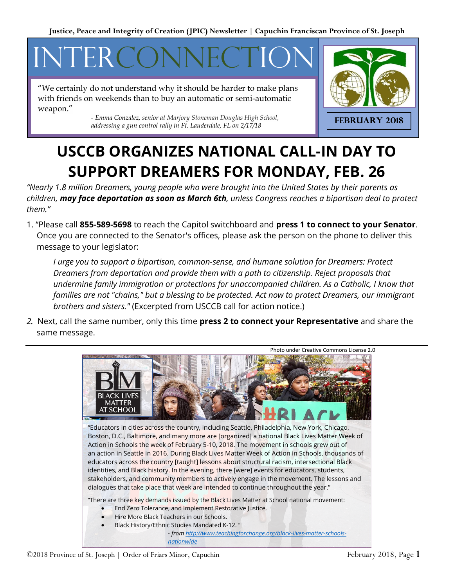# INTERCONNECTION

"We certainly do not understand why it should be harder to make plans with friends on weekends than to buy an automatic or semi-automatic weapon."

> *- Emma Gonzalez, senior at Marjory Stoneman Douglas High School, addressing a gun control rally in Ft. Lauderdale, FL on 2/17/18*



### **USCCB ORGANIZES NATIONAL CALL-IN DAY TO SUPPORT DREAMERS FOR MONDAY, FEB. 26**

*"Nearly 1.8 million Dreamers, young people who were brought into the United States by their parents as children, may face deportation as soon as March 6th, unless Congress reaches a bipartisan deal to protect them."*

1. "Please call **855-589-5698** to reach the Capitol switchboard and **press 1 to connect to your Senator**. Once you are connected to the Senator's offices, please ask the person on the phone to deliver this message to your legislator:

*I urge you to support a bipartisan, common-sense, and humane solution for Dreamers: Protect Dreamers from deportation and provide them with a path to citizenship. Reject proposals that undermine family immigration or protections for unaccompanied children. As a Catholic, I know that families are not "chains," but a blessing to be protected. Act now to protect Dreamers, our immigrant brothers and sisters."* (Excerpted from USCCB call for action notice.)

*2.* Next, call the same number, only this time **press 2 to connect your Representative** and share the same message.

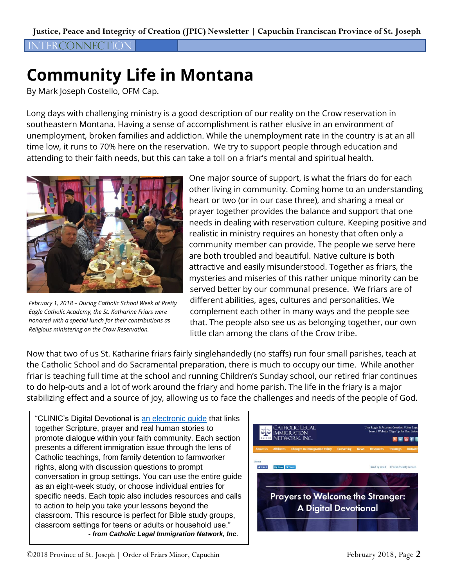#### **JTFRCONNECTION**

## **Community Life in Montana**

By Mark Joseph Costello, OFM Cap.

Long days with challenging ministry is a good description of our reality on the Crow reservation in southeastern Montana. Having a sense of accomplishment is rather elusive in an environment of unemployment, broken families and addiction. While the unemployment rate in the country is at an all time low, it runs to 70% here on the reservation. We try to support people through education and attending to their faith needs, but this can take a toll on a friar's mental and spiritual health.



*February 1, 2018 – During Catholic School Week at Pretty Eagle Catholic Academy, the St. Katharine Friars were honored with a special lunch for their contributions as Religious ministering on the Crow Reservation.*

One major source of support, is what the friars do for each other living in community. Coming home to an understanding heart or two (or in our case three), and sharing a meal or prayer together provides the balance and support that one needs in dealing with reservation culture. Keeping positive and realistic in ministry requires an honesty that often only a community member can provide. The people we serve here are both troubled and beautiful. Native culture is both attractive and easily misunderstood. Together as friars, the mysteries and miseries of this rather unique minority can be served better by our communal presence. We friars are of different abilities, ages, cultures and personalities. We complement each other in many ways and the people see that. The people also see us as belonging together, our own little clan among the clans of the Crow tribe.

Now that two of us St. Katharine friars fairly singlehandedly (no staffs) run four small parishes, teach at the Catholic School and do Sacramental preparation, there is much to occupy our time. While another friar is teaching full time at the school and running Children's Sunday school, our retired friar continues to do help-outs and a lot of work around the friary and home parish. The life in the friary is a major stabilizing effect and a source of joy, allowing us to face the challenges and needs of the people of God.

"CLINIC's Digital Devotional is [an electronic guide](https://cliniclegal.org/digital-devotional?eType=EmailBlastContent&eId=7e293840-5cc2-46ed-bba6-413b737156ae) that links together Scripture, prayer and real human stories to promote dialogue within your faith community. Each section presents a different immigration issue through the lens of Catholic teachings, from family detention to farmworker rights, along with discussion questions to prompt conversation in group settings. You can use the entire guide as an eight-week study, or choose individual entries for specific needs. Each topic also includes resources and calls to action to help you take your lessons beyond the classroom. This resource is perfect for Bible study groups, classroom settings for teens or adults or household use." *- from Catholic Legal Immigration Network, Inc*.